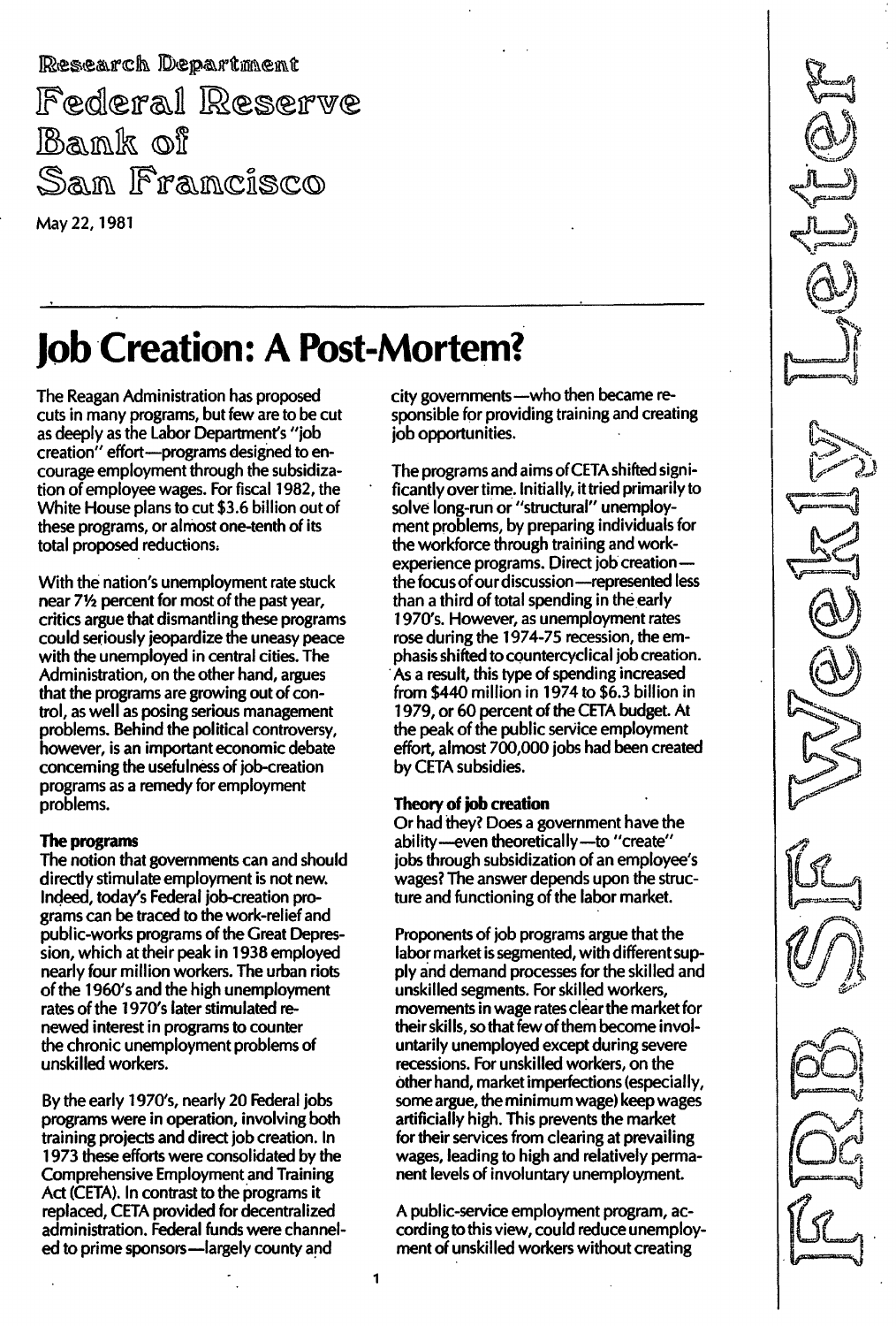Research Department Federal Reserve Bank of San Francisco May 22, 1981

# Job Creation: A Post-Mortem?

The Reagan Administration has proposed cuts in many programs, but few are to be cut as deeply as the Labor Department's "job creation" effort-programs designed to encourage employment through the subsidization of employee wages. For fiscal 1982, the White House plans to cut \$3.6 billion out of these programs, or almost one-tenth of its total proposed reductions;

With the nation's unemployment rate stuck near 71/2 percent for most of the past year, critics argue that dismantling these programs could seriously jeopardize the uneasy peace with the unemployed in central cities. The Administration, on the other hand, argues that the programs are growing out of control, as well as posing serious management problems. Behind the political controversy, however, is an important economic debate concerning the usefulness of job-creation programs as a remedy for employment problems.

## The programs

The notion that governments can and should directly stimulate employment is not new. Indeed, today's Federal job-creation programs can be traced to the work-relief and public-works programs of the Great Depression, which at their peak in 1938 employed nearly four million workers. The urban riots of the 1960's and the high unemployment rates of the 1970's later stimulated renewed interest in programs to counter the chronic unemployment problems of unskilled workers.

By the early 1970's, nearly 20 Federal jobs programs were in operation, involving both training projects and direct job creation. In 1973 these efforts were consolidated by the Comprehensive Employment and Training Act (CETA). In contrast to the programs it replaced, CETA provided for decentralized administration. Federal funds were channeled to prime sponsors-largely county and

city governments-who then became responsible for providing training and creating job opportunities.

The programs and aims of CETA shifted significantly over time. Initially, it tried primarily to solve long-run or "structural" unemployment problems, by preparing individuals for the workforce through training and workexperience programs. Direct job creationthe focus of our discussion-represented less than a third of total spending in the early 1970's. However, as unemployment rates rose during the 1974-75 recession, the emphasis shifted to countercyclical job creation. . As a result, this type of spending increased from \$440 million in 1974 to \$6.3 billion in 1979, or 60 percent of the CETA budget. At the peak of the public service employment effort, almost 700,000 jobs had been created by CETA subsidies.

## Theory of job creation

Or had they? Does a government have the ability-even theoretically-to "create" jobs through subsidization of an employee's wages? The answer depends upon the structure and functioning of the labor market.

Proponents of job programs argue that the labor market is segmented, with different supply and demand processes for the skilled and unskilled segments. For skilled workers, movements in wage rates clear the market for their skills, so that few of them become involuntarily unemployed except during severe recessions. For unskilled workers, on the other hand, market imperfections (especially, some argue, the minimum wage) keep wages artificially high. This prevents the market for their services from clearing at prevailing wages, leading to high and relatively permanent levels of involuntary unemployment.

A public-service employment program, according to this view, could reduce unemployment of unskilled workers without creating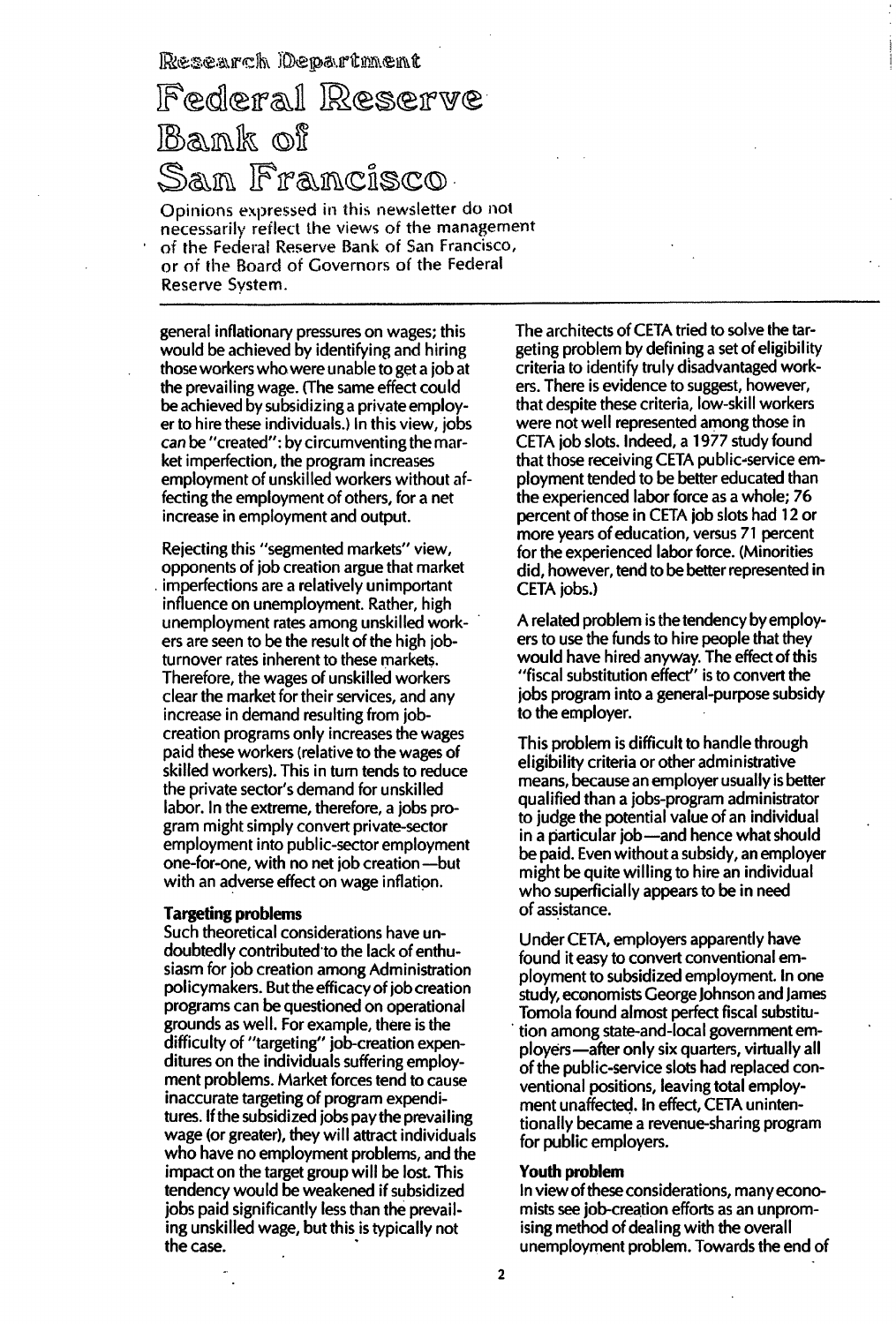Research Department

Federal Reserve Bank of San Francisco.

Opinions expressed in this newsletter do not necessarily reflect the views of the management of the Federal Reserve Bank of San Francisco, or of the Board of Covemors of the Federal Reserve System.

general inflationary pressures on wages; this would be achieved by identifying and hiring those workers who were unable to get a job at the prevailing wage. (The same effect could be achieved by subsidizing a private employer to hire these individuals.) In this view, jobs can be "created": by circumventing the market imperfection, the program increases employment of unskilled workers without affecting the employment of others, for a net increase in employment and output.

Rejecting this "segmented markets" view, opponents of job creation argue that market imperfections are a relatively unimportant influence on unemployment. Rather, high unemployment rates among unskilled workers are seen to be the result of the high iobturnover rates inherent to these markets. Therefore, the wages of unskilled workers clear the market for their services, and any increase in demand resulting from jobcreation programs only increases the wages paid these workers (relative to the wages of skilled workers). This in turn tends to reduce the private sector's demand for unskilled labor. In the extreme, therefore, a jobs program might simply convert private-sector employment into public-sector employment one-for-one, with no net job creation -- but with an adverse effect on wage inflation.

### Targeting problems

Such theoretical considerations have undoubtedly contributed to the lack of enthusiasm for job creation among Administration policymakers. But the efficacy of job creation programs can be questioned on operational grounds as well. For example, there is the difficulty of "targeting" job-creation expenditures on the individuals suffering employment problems. Market forces tend to cause inaccurate targeting of program expenditures. If the subsidized jobs pay the prevailing wage (or greater), they will attract individuals who have no employment problems, and the impact on the target group will be lost. This tendency would be weakened if subsidized jobs paid significantly less than the prevailing unskilled wage, but this is typically not the case. .

The architects of CETA tried to solve the targeting problem by defining a set of eligibility criteria to identify truly disadvantaged workers. There is evidence to suggest, however, that despite these criteria, low-skill workers were not well represented among those in CETA job slots. Indeed, a 1977 study found that those receiving CETA public-service employment tended to be better educated than the experienced labor force as a whole; 76 percent of those in CETA job slots had 12 or more years of education, versus 71 percent for the experienced labor force. (Minorities did, however, tend to be better represented in CETA jobs.)

A related problem is the tendency by employers to use the funds to hire people that they would have hired anyway. The effect of this "fiscal substitution effect" is to convert the jobs program into a general-purpose subsidy to the employer.

This problem is difficult to handle through eligibility criteria or other administrative means, because an employer usually is better qualified than a jobs-program administrator to judge the potential value of an individual in a particular job-and hence what should be paid. Even without a subsidy, an employer might be quite willing to hire an individual who superficially appears to be in need of assistance.

Under CETA, employers apparently have found it easy to convert conventional employment to subsidized employment. In one study, economists George Johnson and James Tomola found almost perfect fiscal substitu- . tion among state-and-Iocal government employers-after only six quarters, virtually all of the public-service slots had replaced conventional positions, leaving total employment unaffected. In effect, CETA unintentionally became a revenue-sharing program for public employers.

#### Youth problem

In view of these considerations, many economists see job-creation efforts as an unpromising method of dealing with the overall unemployment problem. Towards the end of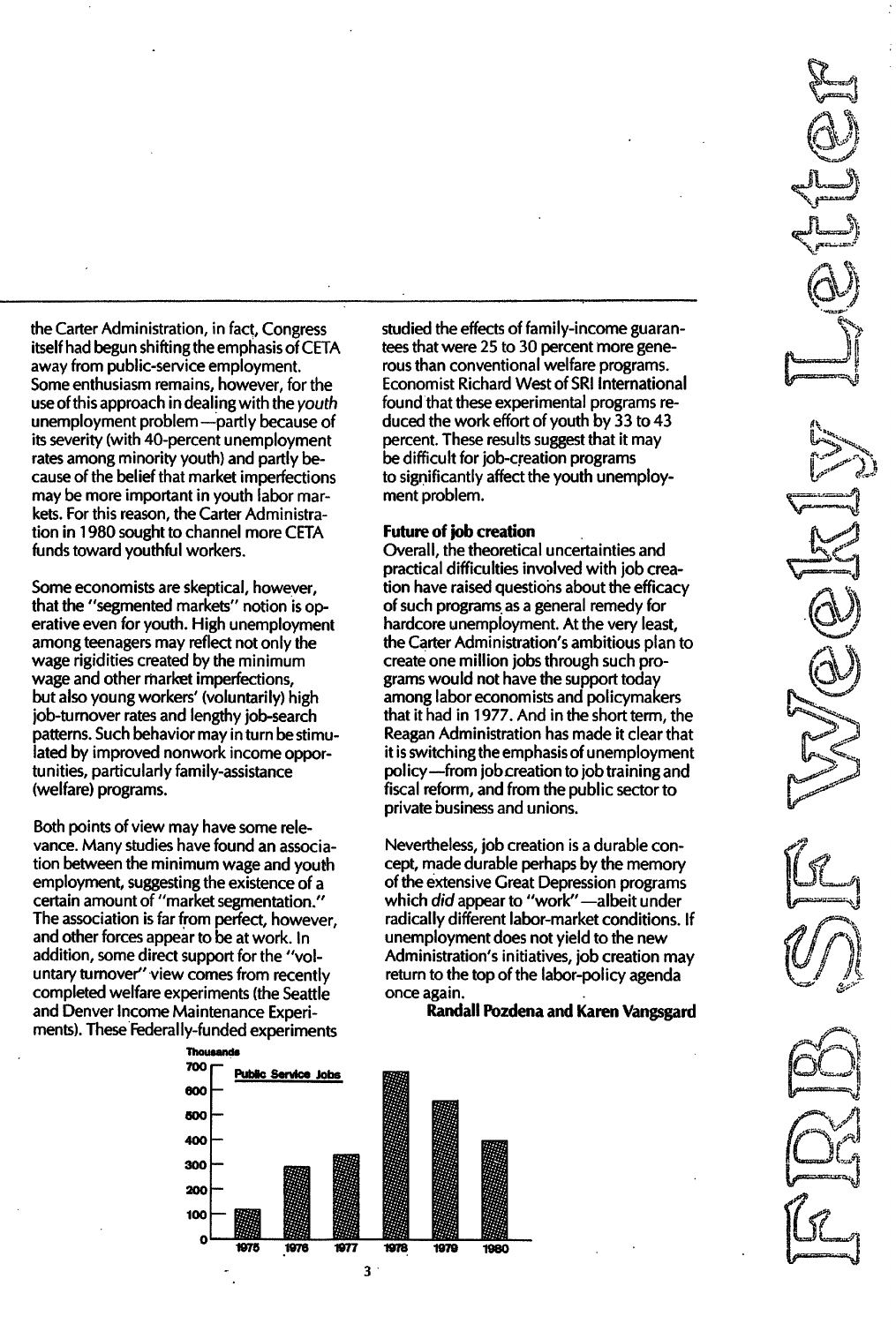the Carter Administration, in fact, Congress itself had begun shifting the emphasis of CETA away from public-service employment. Some enthusiasm remains, however, for the use of this approach in dealing with the youth unemployment problem -- partly because of its severity (with 40-percent unemployment rates among minority youth) and partly because of the belief that market imperfections may be more important in youth labor markets. For this reason, the Carter Administration in 1 980 sought to channel more CETA funds toward youthful workers.

Some economists are skeptical, however, that the "segmented markets" notion is operative even for youth. High unemployment among teenagers may reflect not only the wage rigidities created by the minimum wage and other market imperfections, but also young workers' (voluntarily) high job-turnover rates and lengthy job-search patterns. Such behavior may in turn be stimulated by improved nonwork income opportunities, particularly family-assistance (welfare) programs.

Both points of view may have some relevance. Many studies have found an association between the minimum wage and youth employment, suggesting the existence of a certain amount of "market segmentation." The association is far from perfect, however, and other forces appear to be at work. In addition, some direct support for the "voluntary turnover" view comes from recently completed welfare experiments (the Seattle and Denver Income Maintenance Experiments). These Federally-funded experiments



studied the effects of family-income guarantees that were 25 to 30 percent more generous than conventional welfare programs. Economist Richard West of SRI International found that these experimental programs reduced the work effort of youth by 33 to 43 percent. These results suggest that it may be difficult for job-creation programs to significantly affect the youth unemployment problem.

## Future of job creation

Overall, the theoretical uncertainties and practical difficulties involved with job creation have raised questions about the efficacy of such programs as a general remedy for hardcore unemployment. At the very least, the Carter Administration's ambitious plan to create one million jobs through such programs would not have the support today among labor economists and policymakers that it had in 1977. And in the short term, the Reagan Administration has made it clear that it is switching the emphasis of unemployment policy-from job creation to job training and fiscal reform, and from the public sector to private business and unions.

Nevertheless, job creation is a durable concept, made durable perhaps by the memory of the extensive Great Depression programs which did appear to "work" - albeit under radically different labor-market conditions. If unemployment does not yield to the new Administration's initiatives, job creation may return to the top of the labor-policy agenda once again.

Randall Pozdena and Karen Vangsgard



3